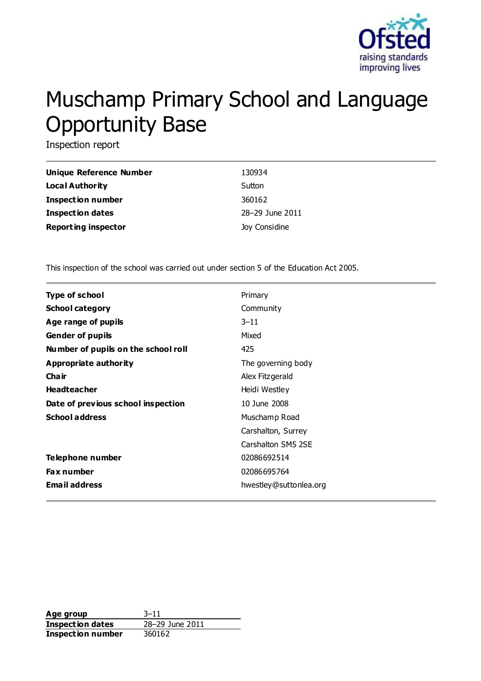

# Muschamp Primary School and Language Opportunity Base

Inspection report

| Unique Reference Number    | 130934          |
|----------------------------|-----------------|
| Local Authority            | Sutton          |
| <b>Inspection number</b>   | 360162          |
| Inspection dates           | 28-29 June 2011 |
| <b>Reporting inspector</b> | Joy Considine   |

This inspection of the school was carried out under section 5 of the Education Act 2005.

| <b>Type of school</b>               | Primary                |
|-------------------------------------|------------------------|
| <b>School category</b>              | Community              |
| Age range of pupils                 | $3 - 11$               |
| <b>Gender of pupils</b>             | Mixed                  |
| Number of pupils on the school roll | 425                    |
| <b>Appropriate authority</b>        | The governing body     |
| Cha ir                              | Alex Fitzgerald        |
| <b>Headteacher</b>                  | Heidi Westley          |
| Date of previous school inspection  | 10 June 2008           |
| <b>School address</b>               | Muschamp Road          |
|                                     | Carshalton, Surrey     |
|                                     | Carshalton SM5 2SE     |
| Telephone number                    | 02086692514            |
| <b>Fax number</b>                   | 02086695764            |
| <b>Email address</b>                | hwestley@suttonlea.org |

**Age group** 3–11 **Inspection dates** 28–29 June 2011 **Inspection number** 360162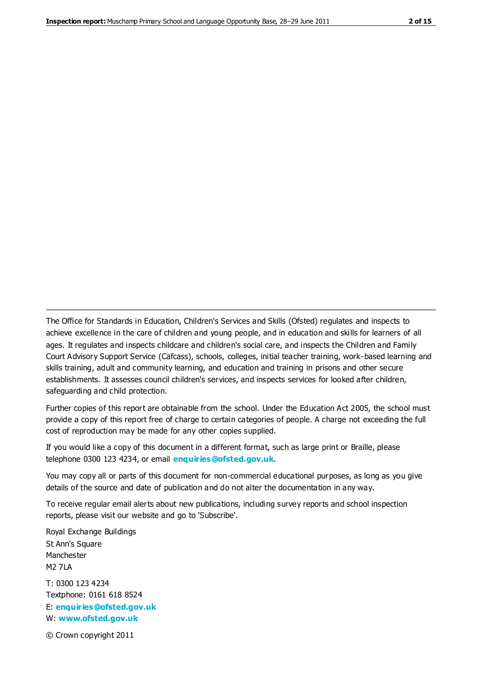The Office for Standards in Education, Children's Services and Skills (Ofsted) regulates and inspects to achieve excellence in the care of children and young people, and in education and skills for learners of all ages. It regulates and inspects childcare and children's social care, and inspects the Children and Family Court Advisory Support Service (Cafcass), schools, colleges, initial teacher training, work-based learning and skills training, adult and community learning, and education and training in prisons and other secure establishments. It assesses council children's services, and inspects services for looked after children, safeguarding and child protection.

Further copies of this report are obtainable from the school. Under the Education Act 2005, the school must provide a copy of this report free of charge to certain categories of people. A charge not exceeding the full cost of reproduction may be made for any other copies supplied.

If you would like a copy of this document in a different format, such as large print or Braille, please telephone 0300 123 4234, or email **[enquiries@ofsted.gov.uk](mailto:enquiries@ofsted.gov.uk)**.

You may copy all or parts of this document for non-commercial educational purposes, as long as you give details of the source and date of publication and do not alter the documentation in any way.

To receive regular email alerts about new publications, including survey reports and school inspection reports, please visit our website and go to 'Subscribe'.

Royal Exchange Buildings St Ann's Square Manchester M2 7LA T: 0300 123 4234 Textphone: 0161 618 8524 E: **[enquiries@ofsted.gov.uk](mailto:enquiries@ofsted.gov.uk)**

W: **[www.ofsted.gov.uk](http://www.ofsted.gov.uk/)**

© Crown copyright 2011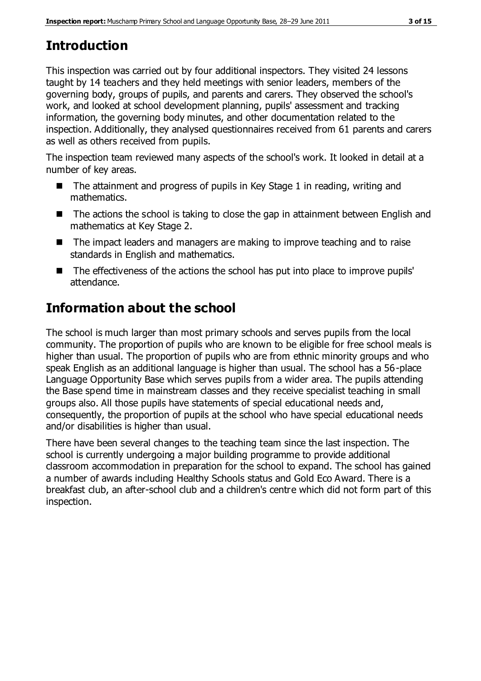# **Introduction**

This inspection was carried out by four additional inspectors. They visited 24 lessons taught by 14 teachers and they held meetings with senior leaders, members of the governing body, groups of pupils, and parents and carers. They observed the school's work, and looked at school development planning, pupils' assessment and tracking information, the governing body minutes, and other documentation related to the inspection. Additionally, they analysed questionnaires received from 61 parents and carers as well as others received from pupils.

The inspection team reviewed many aspects of the school's work. It looked in detail at a number of key areas.

- $\blacksquare$  The attainment and progress of pupils in Key Stage 1 in reading, writing and mathematics.
- The actions the school is taking to close the gap in attainment between English and mathematics at Key Stage 2.
- The impact leaders and managers are making to improve teaching and to raise standards in English and mathematics.
- The effectiveness of the actions the school has put into place to improve pupils' attendance.

# **Information about the school**

The school is much larger than most primary schools and serves pupils from the local community. The proportion of pupils who are known to be eligible for free school meals is higher than usual. The proportion of pupils who are from ethnic minority groups and who speak English as an additional language is higher than usual. The school has a 56-place Language Opportunity Base which serves pupils from a wider area. The pupils attending the Base spend time in mainstream classes and they receive specialist teaching in small groups also. All those pupils have statements of special educational needs and, consequently, the proportion of pupils at the school who have special educational needs and/or disabilities is higher than usual.

There have been several changes to the teaching team since the last inspection. The school is currently undergoing a major building programme to provide additional classroom accommodation in preparation for the school to expand. The school has gained a number of awards including Healthy Schools status and Gold Eco Award. There is a breakfast club, an after-school club and a children's centre which did not form part of this inspection.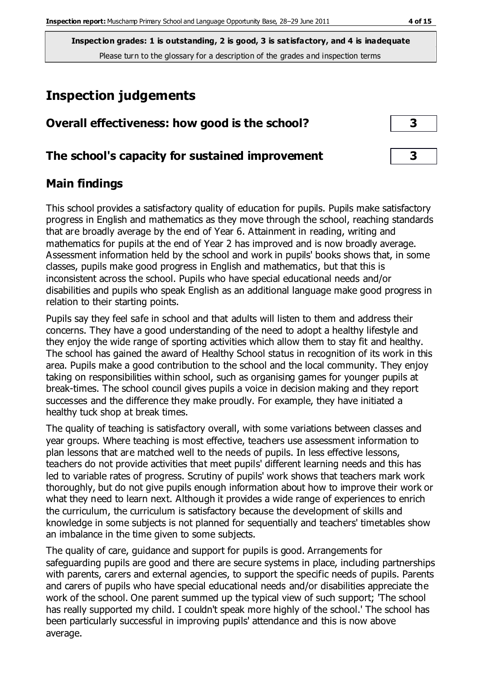**Inspection grades: 1 is outstanding, 2 is good, 3 is satisfactory, and 4 is inadequate** Please turn to the glossary for a description of the grades and inspection terms

# **Inspection judgements**

| Overall effectiveness: how good is the school?  |  |
|-------------------------------------------------|--|
| The school's capacity for sustained improvement |  |

# **Main findings**

This school provides a satisfactory quality of education for pupils. Pupils make satisfactory progress in English and mathematics as they move through the school, reaching standards that are broadly average by the end of Year 6. Attainment in reading, writing and mathematics for pupils at the end of Year 2 has improved and is now broadly average. Assessment information held by the school and work in pupils' books shows that, in some classes, pupils make good progress in English and mathematics, but that this is inconsistent across the school. Pupils who have special educational needs and/or disabilities and pupils who speak English as an additional language make good progress in relation to their starting points.

Pupils say they feel safe in school and that adults will listen to them and address their concerns. They have a good understanding of the need to adopt a healthy lifestyle and they enjoy the wide range of sporting activities which allow them to stay fit and healthy. The school has gained the award of Healthy School status in recognition of its work in this area. Pupils make a good contribution to the school and the local community. They enjoy taking on responsibilities within school, such as organising games for younger pupils at break-times. The school council gives pupils a voice in decision making and they report successes and the difference they make proudly. For example, they have initiated a healthy tuck shop at break times.

The quality of teaching is satisfactory overall, with some variations between classes and year groups. Where teaching is most effective, teachers use assessment information to plan lessons that are matched well to the needs of pupils. In less effective lessons, teachers do not provide activities that meet pupils' different learning needs and this has led to variable rates of progress. Scrutiny of pupils' work shows that teachers mark work thoroughly, but do not give pupils enough information about how to improve their work or what they need to learn next. Although it provides a wide range of experiences to enrich the curriculum, the curriculum is satisfactory because the development of skills and knowledge in some subjects is not planned for sequentially and teachers' timetables show an imbalance in the time given to some subjects.

The quality of care, guidance and support for pupils is good. Arrangements for safeguarding pupils are good and there are secure systems in place, including partnerships with parents, carers and external agencies, to support the specific needs of pupils. Parents and carers of pupils who have special educational needs and/or disabilities appreciate the work of the school. One parent summed up the typical view of such support; 'The school has really supported my child. I couldn't speak more highly of the school.' The school has been particularly successful in improving pupils' attendance and this is now above average.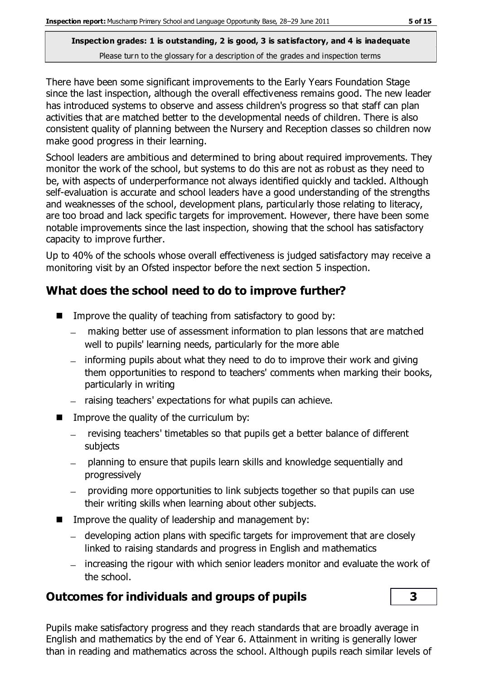### **Inspection grades: 1 is outstanding, 2 is good, 3 is satisfactory, and 4 is inadequate** Please turn to the glossary for a description of the grades and inspection terms

There have been some significant improvements to the Early Years Foundation Stage since the last inspection, although the overall effectiveness remains good. The new leader has introduced systems to observe and assess children's progress so that staff can plan activities that are matched better to the developmental needs of children. There is also consistent quality of planning between the Nursery and Reception classes so children now make good progress in their learning.

School leaders are ambitious and determined to bring about required improvements. They monitor the work of the school, but systems to do this are not as robust as they need to be, with aspects of underperformance not always identified quickly and tackled. Although self-evaluation is accurate and school leaders have a good understanding of the strengths and weaknesses of the school, development plans, particularly those relating to literacy, are too broad and lack specific targets for improvement. However, there have been some notable improvements since the last inspection, showing that the school has satisfactory capacity to improve further.

Up to 40% of the schools whose overall effectiveness is judged satisfactory may receive a monitoring visit by an Ofsted inspector before the next section 5 inspection.

# **What does the school need to do to improve further?**

- Improve the quality of teaching from satisfactory to good by:
	- making better use of assessment information to plan lessons that are matched well to pupils' learning needs, particularly for the more able
	- informing pupils about what they need to do to improve their work and giving them opportunities to respond to teachers' comments when marking their books, particularly in writing
	- raising teachers' expectations for what pupils can achieve.
- **IMPROVE the quality of the curriculum by:** 
	- $\overline{\phantom{0}}$ revising teachers' timetables so that pupils get a better balance of different subjects
	- planning to ensure that pupils learn skills and knowledge sequentially and  $\overline{\phantom{0}}$ progressively
	- providing more opportunities to link subjects together so that pupils can use their writing skills when learning about other subjects.
- $\blacksquare$  Improve the quality of leadership and management by:
	- developing action plans with specific targets for improvement that are closely linked to raising standards and progress in English and mathematics
	- increasing the rigour with which senior leaders monitor and evaluate the work of the school.

# **Outcomes for individuals and groups of pupils 3**

Pupils make satisfactory progress and they reach standards that are broadly average in English and mathematics by the end of Year 6. Attainment in writing is generally lower than in reading and mathematics across the school. Although pupils reach similar levels of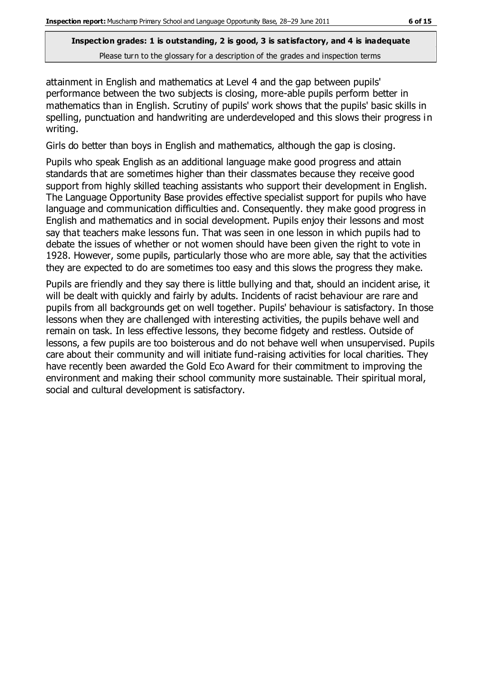attainment in English and mathematics at Level 4 and the gap between pupils' performance between the two subjects is closing, more-able pupils perform better in mathematics than in English. Scrutiny of pupils' work shows that the pupils' basic skills in spelling, punctuation and handwriting are underdeveloped and this slows their progress in writing.

Girls do better than boys in English and mathematics, although the gap is closing.

Pupils who speak English as an additional language make good progress and attain standards that are sometimes higher than their classmates because they receive good support from highly skilled teaching assistants who support their development in English. The Language Opportunity Base provides effective specialist support for pupils who have language and communication difficulties and. Consequently. they make good progress in English and mathematics and in social development. Pupils enjoy their lessons and most say that teachers make lessons fun. That was seen in one lesson in which pupils had to debate the issues of whether or not women should have been given the right to vote in 1928. However, some pupils, particularly those who are more able, say that the activities they are expected to do are sometimes too easy and this slows the progress they make.

Pupils are friendly and they say there is little bullying and that, should an incident arise, it will be dealt with quickly and fairly by adults. Incidents of racist behaviour are rare and pupils from all backgrounds get on well together. Pupils' behaviour is satisfactory. In those lessons when they are challenged with interesting activities, the pupils behave well and remain on task. In less effective lessons, they become fidgety and restless. Outside of lessons, a few pupils are too boisterous and do not behave well when unsupervised. Pupils care about their community and will initiate fund-raising activities for local charities. They have recently been awarded the Gold Eco Award for their commitment to improving the environment and making their school community more sustainable. Their spiritual moral, social and cultural development is satisfactory.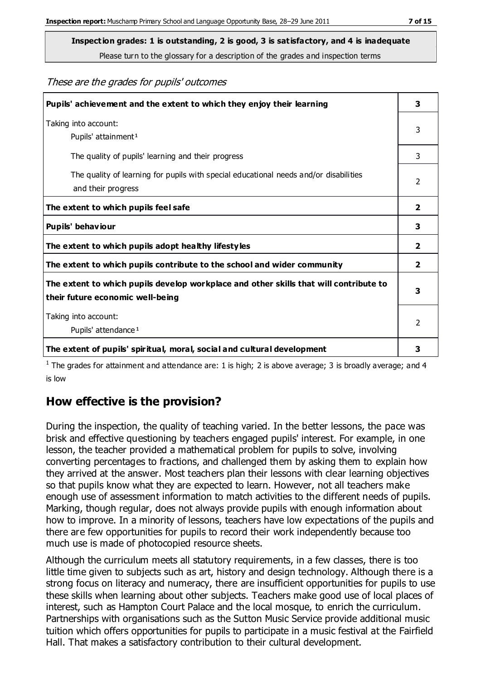Please turn to the glossary for a description of the grades and inspection terms

#### These are the grades for pupils' outcomes

| Pupils' achievement and the extent to which they enjoy their learning                                                     | 3             |
|---------------------------------------------------------------------------------------------------------------------------|---------------|
| Taking into account:<br>Pupils' attainment <sup>1</sup>                                                                   | 3             |
| The quality of pupils' learning and their progress                                                                        | 3             |
| The quality of learning for pupils with special educational needs and/or disabilities<br>and their progress               | 2             |
| The extent to which pupils feel safe                                                                                      | 2             |
| Pupils' behaviour                                                                                                         | 3             |
| The extent to which pupils adopt healthy lifestyles                                                                       | 2             |
| The extent to which pupils contribute to the school and wider community                                                   | 2             |
| The extent to which pupils develop workplace and other skills that will contribute to<br>their future economic well-being | 3             |
| Taking into account:<br>Pupils' attendance <sup>1</sup>                                                                   | $\mathcal{P}$ |
| The extent of pupils' spiritual, moral, social and cultural development                                                   | 3             |

<sup>1</sup> The grades for attainment and attendance are: 1 is high; 2 is above average; 3 is broadly average; and 4 is low

# **How effective is the provision?**

During the inspection, the quality of teaching varied. In the better lessons, the pace was brisk and effective questioning by teachers engaged pupils' interest. For example, in one lesson, the teacher provided a mathematical problem for pupils to solve, involving converting percentages to fractions, and challenged them by asking them to explain how they arrived at the answer. Most teachers plan their lessons with clear learning objectives so that pupils know what they are expected to learn. However, not all teachers make enough use of assessment information to match activities to the different needs of pupils. Marking, though regular, does not always provide pupils with enough information about how to improve. In a minority of lessons, teachers have low expectations of the pupils and there are few opportunities for pupils to record their work independently because too much use is made of photocopied resource sheets.

Although the curriculum meets all statutory requirements, in a few classes, there is too little time given to subjects such as art, history and design technology. Although there is a strong focus on literacy and numeracy, there are insufficient opportunities for pupils to use these skills when learning about other subjects. Teachers make good use of local places of interest, such as Hampton Court Palace and the local mosque, to enrich the curriculum. Partnerships with organisations such as the Sutton Music Service provide additional music tuition which offers opportunities for pupils to participate in a music festival at the Fairfield Hall. That makes a satisfactory contribution to their cultural development.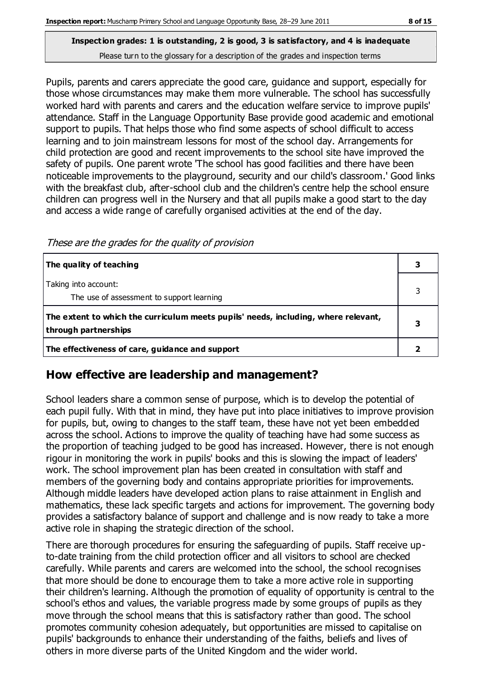#### **Inspection grades: 1 is outstanding, 2 is good, 3 is satisfactory, and 4 is inadequate** Please turn to the glossary for a description of the grades and inspection terms

Pupils, parents and carers appreciate the good care, guidance and support, especially for those whose circumstances may make them more vulnerable. The school has successfully worked hard with parents and carers and the education welfare service to improve pupils' attendance. Staff in the Language Opportunity Base provide good academic and emotional support to pupils. That helps those who find some aspects of school difficult to access learning and to join mainstream lessons for most of the school day. Arrangements for child protection are good and recent improvements to the school site have improved the safety of pupils. One parent wrote 'The school has good facilities and there have been noticeable improvements to the playground, security and our child's classroom.' Good links with the breakfast club, after-school club and the children's centre help the school ensure children can progress well in the Nursery and that all pupils make a good start to the day and access a wide range of carefully organised activities at the end of the day.

These are the grades for the quality of provision

| The quality of teaching                                                                                    |  |
|------------------------------------------------------------------------------------------------------------|--|
| Taking into account:<br>The use of assessment to support learning                                          |  |
| The extent to which the curriculum meets pupils' needs, including, where relevant,<br>through partnerships |  |
| The effectiveness of care, guidance and support                                                            |  |

# **How effective are leadership and management?**

School leaders share a common sense of purpose, which is to develop the potential of each pupil fully. With that in mind, they have put into place initiatives to improve provision for pupils, but, owing to changes to the staff team, these have not yet been embedded across the school. Actions to improve the quality of teaching have had some success as the proportion of teaching judged to be good has increased. However, there is not enough rigour in monitoring the work in pupils' books and this is slowing the impact of leaders' work. The school improvement plan has been created in consultation with staff and members of the governing body and contains appropriate priorities for improvements. Although middle leaders have developed action plans to raise attainment in English and mathematics, these lack specific targets and actions for improvement. The governing body provides a satisfactory balance of support and challenge and is now ready to take a more active role in shaping the strategic direction of the school.

There are thorough procedures for ensuring the safeguarding of pupils. Staff receive upto-date training from the child protection officer and all visitors to school are checked carefully. While parents and carers are welcomed into the school, the school recognises that more should be done to encourage them to take a more active role in supporting their children's learning. Although the promotion of equality of opportunity is central to the school's ethos and values, the variable progress made by some groups of pupils as they move through the school means that this is satisfactory rather than good. The school promotes community cohesion adequately, but opportunities are missed to capitalise on pupils' backgrounds to enhance their understanding of the faiths, beliefs and lives of others in more diverse parts of the United Kingdom and the wider world.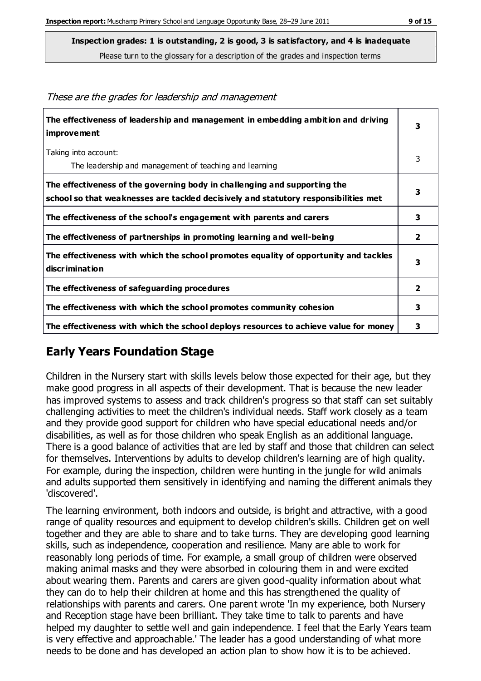**The effectiveness of leadership and management in embedding ambition and driving improvement 3** Taking into account: The leadership and management of teaching and learning 3 **The effectiveness of the governing body in challenging and supporting the school so that weaknesses are tackled decisively and statutory responsibilities met 3 The effectiveness of the school's engagement with parents and carers 3 The effectiveness of partnerships in promoting learning and well-being 2 The effectiveness with which the school promotes equality of opportunity and tackles discrimination 3 The effectiveness of safeguarding procedures 2 The effectiveness with which the school promotes community cohesion 3 The effectiveness with which the school deploys resources to achieve value for money 3**

#### These are the grades for leadership and management

# **Early Years Foundation Stage**

Children in the Nursery start with skills levels below those expected for their age, but they make good progress in all aspects of their development. That is because the new leader has improved systems to assess and track children's progress so that staff can set suitably challenging activities to meet the children's individual needs. Staff work closely as a team and they provide good support for children who have special educational needs and/or disabilities, as well as for those children who speak English as an additional language. There is a good balance of activities that are led by staff and those that children can select for themselves. Interventions by adults to develop children's learning are of high quality. For example, during the inspection, children were hunting in the jungle for wild animals and adults supported them sensitively in identifying and naming the different animals they 'discovered'.

The learning environment, both indoors and outside, is bright and attractive, with a good range of quality resources and equipment to develop children's skills. Children get on well together and they are able to share and to take turns. They are developing good learning skills, such as independence, cooperation and resilience. Many are able to work for reasonably long periods of time. For example, a small group of children were observed making animal masks and they were absorbed in colouring them in and were excited about wearing them. Parents and carers are given good-quality information about what they can do to help their children at home and this has strengthened the quality of relationships with parents and carers. One parent wrote 'In my experience, both Nursery and Reception stage have been brilliant. They take time to talk to parents and have helped my daughter to settle well and gain independence. I feel that the Early Years team is very effective and approachable.' The leader has a good understanding of what more needs to be done and has developed an action plan to show how it is to be achieved.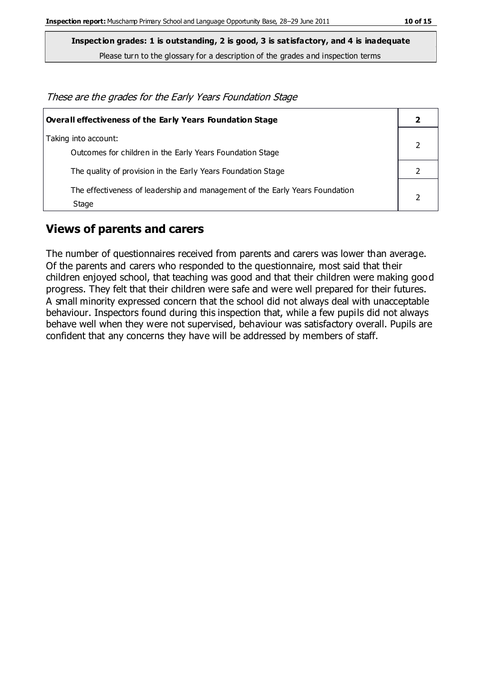**Inspection grades: 1 is outstanding, 2 is good, 3 is satisfactory, and 4 is inadequate**

Please turn to the glossary for a description of the grades and inspection terms

These are the grades for the Early Years Foundation Stage

| <b>Overall effectiveness of the Early Years Foundation Stage</b>                      |  |  |
|---------------------------------------------------------------------------------------|--|--|
| Taking into account:<br>Outcomes for children in the Early Years Foundation Stage     |  |  |
| The quality of provision in the Early Years Foundation Stage                          |  |  |
| The effectiveness of leadership and management of the Early Years Foundation<br>Stage |  |  |

### **Views of parents and carers**

The number of questionnaires received from parents and carers was lower than average. Of the parents and carers who responded to the questionnaire, most said that their children enjoyed school, that teaching was good and that their children were making good progress. They felt that their children were safe and were well prepared for their futures. A small minority expressed concern that the school did not always deal with unacceptable behaviour. Inspectors found during this inspection that, while a few pupils did not always behave well when they were not supervised, behaviour was satisfactory overall. Pupils are confident that any concerns they have will be addressed by members of staff.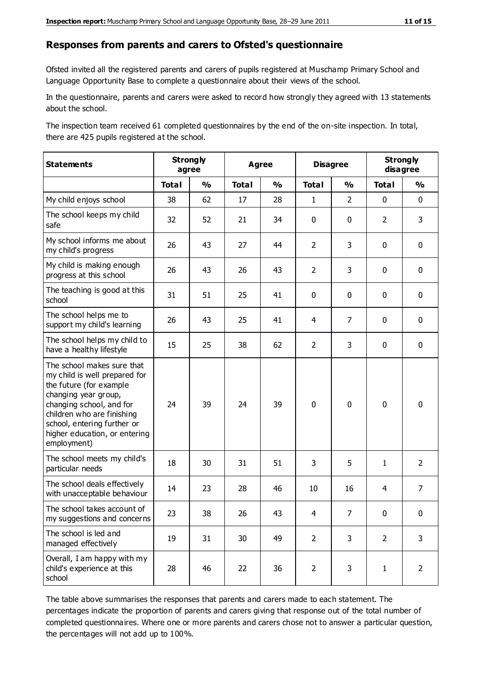#### **Responses from parents and carers to Ofsted's questionnaire**

Ofsted invited all the registered parents and carers of pupils registered at Muschamp Primary School and Language Opportunity Base to complete a questionnaire about their views of the school.

In the questionnaire, parents and carers were asked to record how strongly they agreed with 13 statements about the school.

The inspection team received 61 completed questionnaires by the end of the on-site inspection. In total, there are 425 pupils registered at the school.

| <b>Statements</b>                                                                                                                                                                                                                                       | <b>Strongly</b><br>agree |               | <b>Agree</b> |               | <b>Disagree</b> |                | <b>Strongly</b><br>disagree |                |
|---------------------------------------------------------------------------------------------------------------------------------------------------------------------------------------------------------------------------------------------------------|--------------------------|---------------|--------------|---------------|-----------------|----------------|-----------------------------|----------------|
|                                                                                                                                                                                                                                                         | <b>Total</b>             | $\frac{1}{2}$ | <b>Total</b> | $\frac{1}{2}$ | <b>Total</b>    | $\frac{1}{2}$  | <b>Total</b>                | $\frac{1}{2}$  |
| My child enjoys school                                                                                                                                                                                                                                  | 38                       | 62            | 17           | 28            | $\mathbf{1}$    | $\overline{2}$ | $\mathbf 0$                 | $\mathbf 0$    |
| The school keeps my child<br>safe                                                                                                                                                                                                                       | 32                       | 52            | 21           | 34            | 0               | $\mathbf 0$    | $\overline{2}$              | 3              |
| My school informs me about<br>my child's progress                                                                                                                                                                                                       | 26                       | 43            | 27           | 44            | $\overline{2}$  | 3              | $\mathbf 0$                 | $\mathbf 0$    |
| My child is making enough<br>progress at this school                                                                                                                                                                                                    | 26                       | 43            | 26           | 43            | $\overline{2}$  | 3              | $\mathbf 0$                 | $\mathbf 0$    |
| The teaching is good at this<br>school                                                                                                                                                                                                                  | 31                       | 51            | 25           | 41            | 0               | $\mathbf 0$    | $\mathbf 0$                 | $\mathbf 0$    |
| The school helps me to<br>support my child's learning                                                                                                                                                                                                   | 26                       | 43            | 25           | 41            | 4               | $\overline{7}$ | $\mathbf 0$                 | $\mathbf 0$    |
| The school helps my child to<br>have a healthy lifestyle                                                                                                                                                                                                | 15                       | 25            | 38           | 62            | $\overline{2}$  | 3              | $\mathbf 0$                 | $\mathbf 0$    |
| The school makes sure that<br>my child is well prepared for<br>the future (for example<br>changing year group,<br>changing school, and for<br>children who are finishing<br>school, entering further or<br>higher education, or entering<br>employment) | 24                       | 39            | 24           | 39            | $\pmb{0}$       | $\mathbf 0$    | $\mathbf 0$                 | $\mathbf 0$    |
| The school meets my child's<br>particular needs                                                                                                                                                                                                         | 18                       | 30            | 31           | 51            | 3               | 5              | $\mathbf{1}$                | $\overline{2}$ |
| The school deals effectively<br>with unacceptable behaviour                                                                                                                                                                                             | 14                       | 23            | 28           | 46            | 10              | 16             | 4                           | $\overline{7}$ |
| The school takes account of<br>my suggestions and concerns                                                                                                                                                                                              | 23                       | 38            | 26           | 43            | 4               | 7              | $\Omega$                    | 0              |
| The school is led and<br>managed effectively                                                                                                                                                                                                            | 19                       | 31            | 30           | 49            | $\overline{2}$  | 3              | $\overline{2}$              | 3              |
| Overall, I am happy with my<br>child's experience at this<br>school                                                                                                                                                                                     | 28                       | 46            | 22           | 36            | $\overline{2}$  | 3              | $\mathbf{1}$                | $\overline{2}$ |

The table above summarises the responses that parents and carers made to each statement. The percentages indicate the proportion of parents and carers giving that response out of the total number of completed questionnaires. Where one or more parents and carers chose not to answer a particular question, the percentages will not add up to 100%.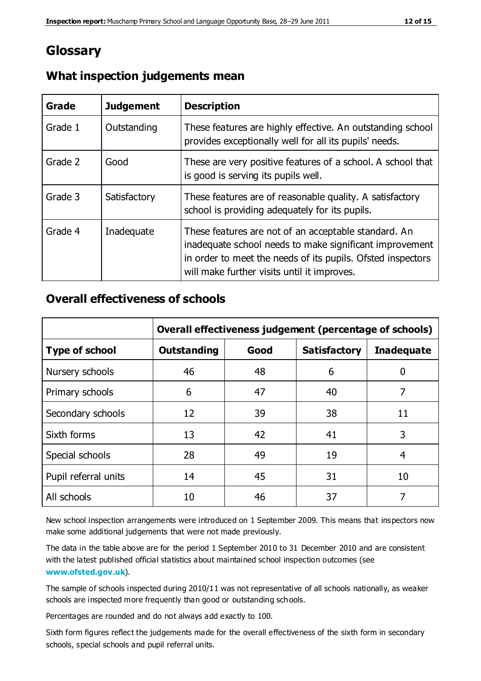# **Glossary**

| Grade   | <b>Judgement</b> | <b>Description</b>                                                                                                                                                                                                            |
|---------|------------------|-------------------------------------------------------------------------------------------------------------------------------------------------------------------------------------------------------------------------------|
| Grade 1 | Outstanding      | These features are highly effective. An outstanding school<br>provides exceptionally well for all its pupils' needs.                                                                                                          |
| Grade 2 | Good             | These are very positive features of a school. A school that<br>is good is serving its pupils well.                                                                                                                            |
| Grade 3 | Satisfactory     | These features are of reasonable quality. A satisfactory<br>school is providing adequately for its pupils.                                                                                                                    |
| Grade 4 | Inadequate       | These features are not of an acceptable standard. An<br>inadequate school needs to make significant improvement<br>in order to meet the needs of its pupils. Ofsted inspectors<br>will make further visits until it improves. |

### **What inspection judgements mean**

### **Overall effectiveness of schools**

|                       | Overall effectiveness judgement (percentage of schools) |      |                     |                   |
|-----------------------|---------------------------------------------------------|------|---------------------|-------------------|
| <b>Type of school</b> | <b>Outstanding</b>                                      | Good | <b>Satisfactory</b> | <b>Inadequate</b> |
| Nursery schools       | 46                                                      | 48   | 6                   |                   |
| Primary schools       | 6                                                       | 47   | 40                  | 7                 |
| Secondary schools     | 12                                                      | 39   | 38                  | 11                |
| Sixth forms           | 13                                                      | 42   | 41                  | 3                 |
| Special schools       | 28                                                      | 49   | 19                  | 4                 |
| Pupil referral units  | 14                                                      | 45   | 31                  | 10                |
| All schools           | 10                                                      | 46   | 37                  |                   |

New school inspection arrangements were introduced on 1 September 2009. This means that inspectors now make some additional judgements that were not made previously.

The data in the table above are for the period 1 September 2010 to 31 December 2010 and are consistent with the latest published official statistics about maintained school inspection outcomes (see **[www.ofsted.gov.uk](http://www.ofsted.gov.uk/)**).

The sample of schools inspected during 2010/11 was not representative of all schools nationally, as weaker schools are inspected more frequently than good or outstanding schools.

Percentages are rounded and do not always add exactly to 100.

Sixth form figures reflect the judgements made for the overall effectiveness of the sixth form in secondary schools, special schools and pupil referral units.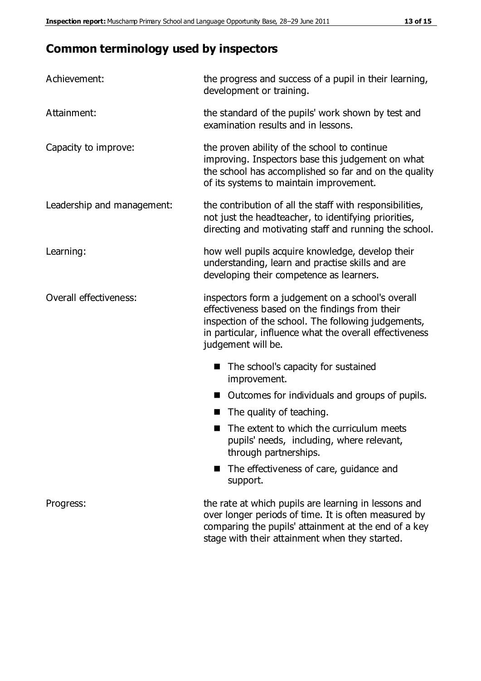# **Common terminology used by inspectors**

| Achievement:               | the progress and success of a pupil in their learning,<br>development or training.                                                                                                                                                          |
|----------------------------|---------------------------------------------------------------------------------------------------------------------------------------------------------------------------------------------------------------------------------------------|
| Attainment:                | the standard of the pupils' work shown by test and<br>examination results and in lessons.                                                                                                                                                   |
| Capacity to improve:       | the proven ability of the school to continue<br>improving. Inspectors base this judgement on what<br>the school has accomplished so far and on the quality<br>of its systems to maintain improvement.                                       |
| Leadership and management: | the contribution of all the staff with responsibilities,<br>not just the headteacher, to identifying priorities,<br>directing and motivating staff and running the school.                                                                  |
| Learning:                  | how well pupils acquire knowledge, develop their<br>understanding, learn and practise skills and are<br>developing their competence as learners.                                                                                            |
| Overall effectiveness:     | inspectors form a judgement on a school's overall<br>effectiveness based on the findings from their<br>inspection of the school. The following judgements,<br>in particular, influence what the overall effectiveness<br>judgement will be. |
|                            | The school's capacity for sustained<br>improvement.                                                                                                                                                                                         |
|                            | Outcomes for individuals and groups of pupils.                                                                                                                                                                                              |
|                            | The quality of teaching.                                                                                                                                                                                                                    |
|                            | The extent to which the curriculum meets<br>pupils' needs, including, where relevant,<br>through partnerships.                                                                                                                              |
|                            | The effectiveness of care, guidance and<br>support.                                                                                                                                                                                         |
| Progress:                  | the rate at which pupils are learning in lessons and<br>over longer periods of time. It is often measured by<br>comparing the pupils' attainment at the end of a key                                                                        |

stage with their attainment when they started.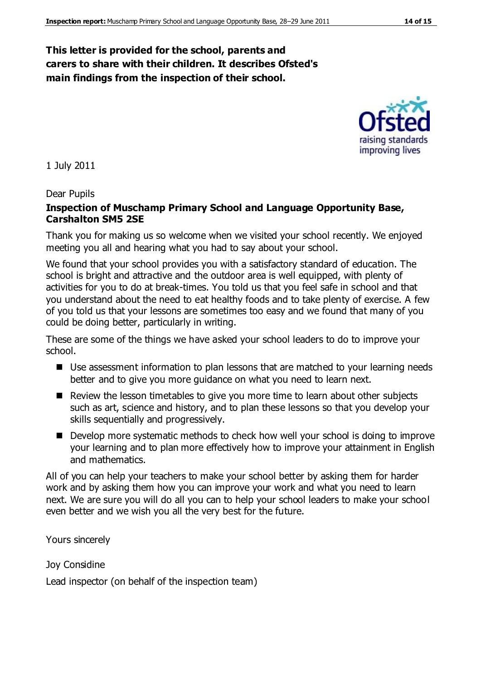### **This letter is provided for the school, parents and carers to share with their children. It describes Ofsted's main findings from the inspection of their school.**

1 July 2011

#### Dear Pupils

#### **Inspection of Muschamp Primary School and Language Opportunity Base, Carshalton SM5 2SE**

Thank you for making us so welcome when we visited your school recently. We enjoyed meeting you all and hearing what you had to say about your school.

We found that your school provides you with a satisfactory standard of education. The school is bright and attractive and the outdoor area is well equipped, with plenty of activities for you to do at break-times. You told us that you feel safe in school and that you understand about the need to eat healthy foods and to take plenty of exercise. A few of you told us that your lessons are sometimes too easy and we found that many of you could be doing better, particularly in writing.

These are some of the things we have asked your school leaders to do to improve your school.

- Use assessment information to plan lessons that are matched to your learning needs better and to give you more guidance on what you need to learn next.
- Review the lesson timetables to give you more time to learn about other subjects such as art, science and history, and to plan these lessons so that you develop your skills sequentially and progressively.
- Develop more systematic methods to check how well your school is doing to improve your learning and to plan more effectively how to improve your attainment in English and mathematics.

All of you can help your teachers to make your school better by asking them for harder work and by asking them how you can improve your work and what you need to learn next. We are sure you will do all you can to help your school leaders to make your school even better and we wish you all the very best for the future.

Yours sincerely

Joy Considine

Lead inspector (on behalf of the inspection team)